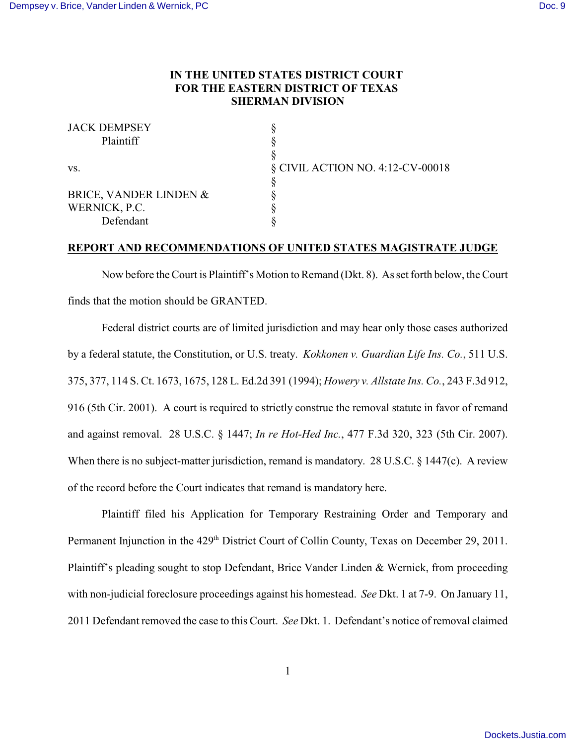## **IN THE UNITED STATES DISTRICT COURT FOR THE EASTERN DISTRICT OF TEXAS SHERMAN DIVISION**

| <b>JACK DEMPSEY</b>    |                                  |
|------------------------|----------------------------------|
| Plaintiff              |                                  |
|                        |                                  |
| VS.                    | § CIVIL ACTION NO. 4:12-CV-00018 |
|                        |                                  |
| BRICE, VANDER LINDEN & |                                  |
| WERNICK, P.C.          |                                  |
| Defendant              |                                  |
|                        |                                  |

## **REPORT AND RECOMMENDATIONS OF UNITED STATES MAGISTRATE JUDGE**

Now before the Court is Plaintiff's Motion to Remand (Dkt. 8). As set forth below, the Court finds that the motion should be GRANTED.

Federal district courts are of limited jurisdiction and may hear only those cases authorized by a federal statute, the Constitution, or U.S. treaty. *Kokkonen v. Guardian Life Ins. Co.*, 511 U.S. 375, 377, 114 S. Ct. 1673, 1675, 128 L. Ed.2d 391 (1994); *Howery v. Allstate Ins. Co.*, 243 F.3d 912, 916 (5th Cir. 2001). A court is required to strictly construe the removal statute in favor of remand and against removal. 28 U.S.C. § 1447; *In re Hot-Hed Inc.*, 477 F.3d 320, 323 (5th Cir. 2007). When there is no subject-matter jurisdiction, remand is mandatory. 28 U.S.C. § 1447(c). A review of the record before the Court indicates that remand is mandatory here.

Plaintiff filed his Application for Temporary Restraining Order and Temporary and Permanent Injunction in the 429<sup>th</sup> District Court of Collin County, Texas on December 29, 2011. Plaintiff's pleading sought to stop Defendant, Brice Vander Linden & Wernick, from proceeding with non-judicial foreclosure proceedings against his homestead. *See* Dkt. 1 at 7-9. On January 11, 2011 Defendant removed the case to this Court. *See* Dkt. 1. Defendant's notice of removal claimed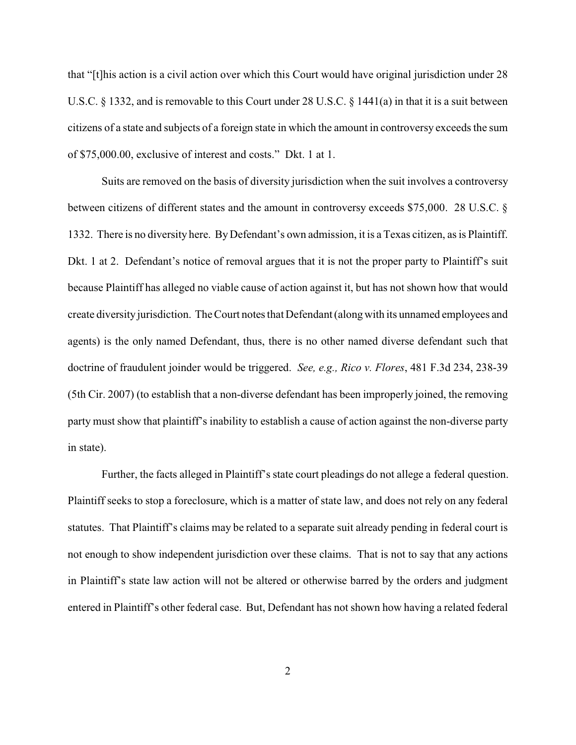that "[t]his action is a civil action over which this Court would have original jurisdiction under 28 U.S.C. § 1332, and is removable to this Court under 28 U.S.C. § 1441(a) in that it is a suit between citizens of a state and subjects of a foreign state in which the amount in controversy exceeds the sum of \$75,000.00, exclusive of interest and costs." Dkt. 1 at 1.

Suits are removed on the basis of diversity jurisdiction when the suit involves a controversy between citizens of different states and the amount in controversy exceeds \$75,000. 28 U.S.C. § 1332. There is no diversity here. ByDefendant's own admission, it is a Texas citizen, as is Plaintiff. Dkt. 1 at 2. Defendant's notice of removal argues that it is not the proper party to Plaintiff's suit because Plaintiff has alleged no viable cause of action against it, but has not shown how that would create diversity jurisdiction. The Court notes that Defendant (alongwith its unnamed employees and agents) is the only named Defendant, thus, there is no other named diverse defendant such that doctrine of fraudulent joinder would be triggered. *See, e.g., Rico v. Flores*, 481 F.3d 234, 238-39 (5th Cir. 2007) (to establish that a non-diverse defendant has been improperly joined, the removing party must show that plaintiff's inability to establish a cause of action against the non-diverse party in state).

Further, the facts alleged in Plaintiff's state court pleadings do not allege a federal question. Plaintiff seeks to stop a foreclosure, which is a matter of state law, and does not rely on any federal statutes. That Plaintiff's claims may be related to a separate suit already pending in federal court is not enough to show independent jurisdiction over these claims. That is not to say that any actions in Plaintiff's state law action will not be altered or otherwise barred by the orders and judgment entered in Plaintiff's other federal case. But, Defendant has not shown how having a related federal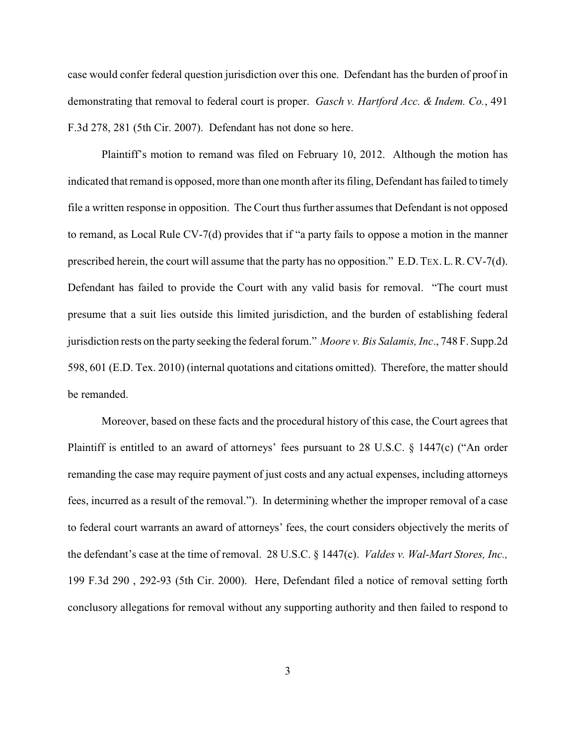case would confer federal question jurisdiction over this one. Defendant has the burden of proof in demonstrating that removal to federal court is proper. *Gasch v. Hartford Acc. & Indem. Co.*, 491 F.3d 278, 281 (5th Cir. 2007). Defendant has not done so here.

Plaintiff's motion to remand was filed on February 10, 2012. Although the motion has indicated that remand is opposed, more than one month after its filing, Defendant has failed to timely file a written response in opposition. The Court thus further assumes that Defendant is not opposed to remand, as Local Rule CV-7(d) provides that if "a party fails to oppose a motion in the manner prescribed herein, the court will assume that the party has no opposition." E.D.TEX.L.R.CV-7(d). Defendant has failed to provide the Court with any valid basis for removal. "The court must presume that a suit lies outside this limited jurisdiction, and the burden of establishing federal jurisdiction rests on the party seeking the federal forum." *Moore v. Bis Salamis, Inc*., 748 F. Supp.2d 598, 601 (E.D. Tex. 2010) (internal quotations and citations omitted). Therefore, the matter should be remanded.

Moreover, based on these facts and the procedural history of this case, the Court agrees that Plaintiff is entitled to an award of attorneys' fees pursuant to 28 U.S.C. § 1447(c) ("An order remanding the case may require payment of just costs and any actual expenses, including attorneys fees, incurred as a result of the removal."). In determining whether the improper removal of a case to federal court warrants an award of attorneys' fees, the court considers objectively the merits of the defendant's case at the time of removal. 28 U.S.C. § 1447(c). *Valdes v. Wal-Mart Stores, Inc.,* 199 F.3d 290 , 292-93 (5th Cir. 2000). Here, Defendant filed a notice of removal setting forth conclusory allegations for removal without any supporting authority and then failed to respond to